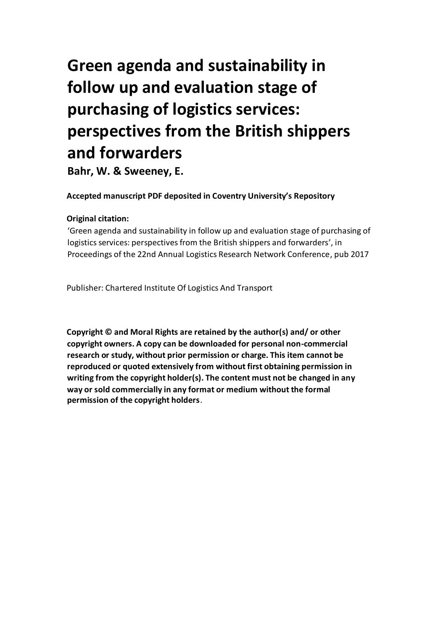# **Green agenda and sustainability in follow up and evaluation stage of purchasing of logistics services: perspectives from the British shippers and forwarders**

 **Bahr, W. & Sweeney, E.** 

# **Accepted manuscript PDF deposited in Coventry University's Repository**

# **Original citation:**

 'Green agenda and sustainability in follow up and evaluation stage of purchasing of logistics services: perspectives from the British shippers and forwarders', in Proceedings of the 22nd Annual Logistics Research Network Conference, pub 2017

Publisher: Chartered Institute Of Logistics And Transport

 **Copyright © and Moral Rights are retained by the author(s) and/ or other copyright owners. A copy can be downloaded for personal non-commercial research or study, without prior permission or charge. This item cannot be reproduced or quoted extensively from without first obtaining permission in writing from the copyright holder(s). The content must not be changed in any way or sold commercially in any format or medium without the formal permission of the copyright holders**.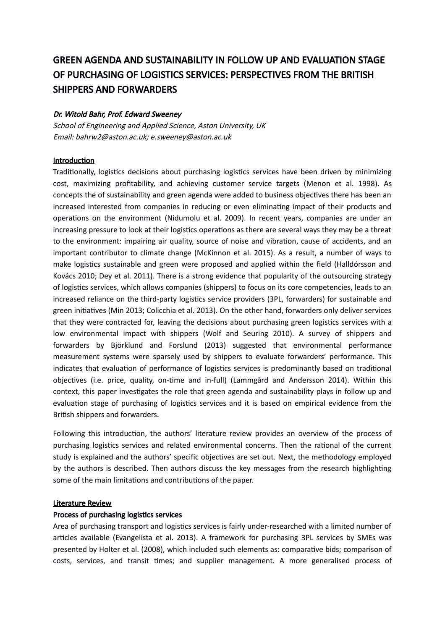# GREEN AGENDA AND SUSTAINABILITY IN FOLLOW UP AND EVALUATION STAGE OF PURCHASING OF LOGISTICS SERVICES: PERSPECTIVES FROM THE BRITISH SHIPPERS AND FORWARDERS

# Dr. Witold Bahr, Prof. Edward Sweeney

School of Engineering and Applied Science, Aston University, UK Email: bahrw2@aston.ac.uk; e.sweeney@aston.ac.uk

# Introduction

Traditionally, logistics decisions about purchasing logistics services have been driven by minimizing cost, maximizing proftability, and achieving customer service targets (Menon et al. 1998). As increased interested from companies in reducing or even eliminating impact of their products and operations on the environment (Nidumolu et al. 2009). In recent years, companies are under an increasing pressure to look at their logistics operations as there are several ways they may be a threat to the environment: impairing air quality, source of noise and vibration, cause of accidents, and an important contributor to climate change (McKinnon et al. 2015). As a result, a number of ways to make logistics sustainable and green were proposed and applied within the field (Halldórsson and Kovács 2010; Dey et al. 2011). There is a strong evidence that popularity of the outsourcing strategy of logistics services, which allows companies (shippers) to focus on its core competencies, leads to an increased reliance on the third-party logistics service providers (3PL, forwarders) for sustainable and that they were contracted for, leaving the decisions about purchasing green logistics services with a low environmental impact with shippers (Wolf and Seuring 2010). A survey of shippers and forwarders by Björklund and Forslund (2013) suggested that environmental performance measurement systems were sparsely used by shippers to evaluate forwarders' performance. This indicates that evaluation of performance of logistics services is predominantly based on traditional objectives (i.e. price, quality, on-time and in-full) (Lammgård and Andersson 2014). Within this context, this paper investigates the role that green agenda and sustainability plays in follow up and evaluation stage of purchasing of logistics services and it is based on empirical evidence from the concepts the of sustainability and green agenda were added to business objectives there has been an green initatves (Min 2013; Colicchia et al. 2013). On the other hand, forwarders only deliver services Britsh shippers and forwarders.

Following this introduction, the authors' literature review provides an overview of the process of purchasing logistics services and related environmental concerns. Then the rational of the current study is explained and the authors' specifc objectves are set out. Next, the methodology employed by the authors is described. Then authors discuss the key messages from the research highlighting some of the main limitations and contributions of the paper.

## Literature Review

## Process of purchasing logistics services

Area of purchasing transport and logistics services is fairly under-researched with a limited number of articles available (Evangelista et al. 2013). A framework for purchasing 3PL services by SMEs was presented by Holter et al. (2008), which included such elements as: comparative bids; comparison of costs, services, and transit tmes; and supplier management. A more generalised process of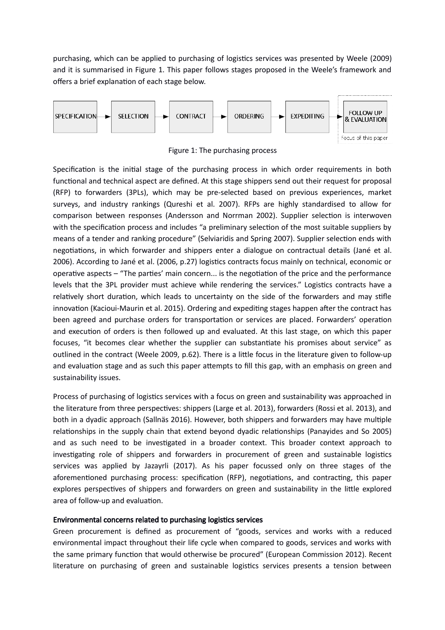purchasing, which can be applied to purchasing of logistics services was presented by Weele (2009) and it is summarised in Figure 1. This paper follows stages proposed in the Weele's framework and offers a brief explanation of each stage below.



Figure 1: The purchasing process

Specification is the initial stage of the purchasing process in which order requirements in both functional and technical aspect are defined. At this stage shippers send out their request for proposal (RFP) to forwarders (3PLs), which may be pre-selected based on previous experiences, market surveys, and industry rankings (Qureshi et al. 2007). RFPs are highly standardised to allow for comparison between responses (Andersson and Norrman 2002). Supplier selection is interwoven with the specification process and includes "a preliminary selection of the most suitable suppliers by means of a tender and ranking procedure" (Selviaridis and Spring 2007). Supplier selection ends with negotiations, in which forwarder and shippers enter a dialogue on contractual details (Jané et al. 2006). According to Jané et al. (2006, p.27) logistics contracts focus mainly on technical, economic or operative aspects – "The parties' main concern... is the negotiation of the price and the performance levels that the 3PL provider must achieve while rendering the services." Logistics contracts have a relatively short duration, which leads to uncertainty on the side of the forwarders and may stifle innovation (Kacioui-Maurin et al. 2015). Ordering and expediting stages happen after the contract has been agreed and purchase orders for transportation or services are placed. Forwarders' operation and execution of orders is then followed up and evaluated. At this last stage, on which this paper focuses, "it becomes clear whether the supplier can substantiate his promises about service" as outlined in the contract (Weele 2009, p.62). There is a litle focus in the literature given to follow-up and evaluation stage and as such this paper attempts to fill this gap, with an emphasis on green and sustainability issues.

Process of purchasing of logistics services with a focus on green and sustainability was approached in the literature from three perspectives: shippers (Large et al. 2013), forwarders (Rossi et al. 2013), and both in a dyadic approach (Sallnäs 2016). However, both shippers and forwarders may have multiple relationships in the supply chain that extend beyond dyadic relationships (Panayides and So 2005) and as such need to be investigated in a broader context. This broader context approach to investigating role of shippers and forwarders in procurement of green and sustainable logistics services was applied by Jazayrli (2017). As his paper focussed only on three stages of the aforementioned purchasing process: specification (RFP), negotiations, and contracting, this paper explores perspectives of shippers and forwarders on green and sustainability in the little explored area of follow-up and evaluation.

## Environmental concerns related to purchasing logistics services

 Green procurement is defned as procurement of "goods, services and works with a reduced environmental impact throughout their life cycle when compared to goods, services and works with the same primary function that would otherwise be procured" (European Commission 2012). Recent literature on purchasing of green and sustainable logistics services presents a tension between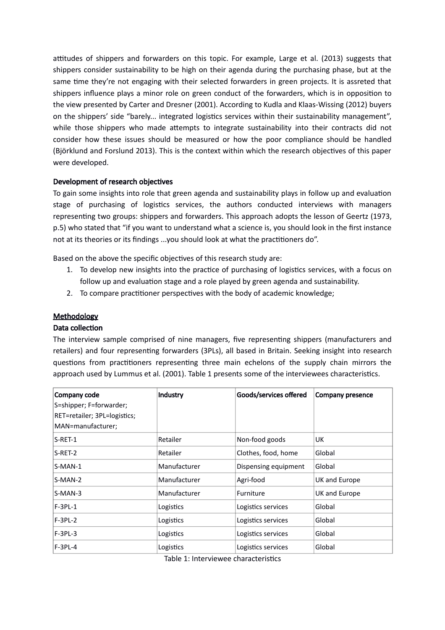attitudes of shippers and forwarders on this topic. For example, Large et al. (2013) suggests that shippers consider sustainability to be high on their agenda during the purchasing phase, but at the same time they're not engaging with their selected forwarders in green projects. It is assreted that shippers infuence plays a minor role on green conduct of the forwarders, which is in oppositon to on the shippers' side "barely... integrated logistics services within their sustainability management", while those shippers who made attempts to integrate sustainability into their contracts did not consider how these issues should be measured or how the poor compliance should be handled (Björklund and Forslund 2013). This is the context within which the research objectves of this paper the view presented by Carter and Dresner (2001). According to Kudla and Klaas-Wissing (2012) buyers were developed.

# Development of research objectives

To gain some insights into role that green agenda and sustainability plays in follow up and evaluation stage of purchasing of logistics services, the authors conducted interviews with managers representng two groups: shippers and forwarders. This approach adopts the lesson of Geertz (1973, p.5) who stated that "if you want to understand what a science is, you should look in the frst instance not at its theories or its findings ...you should look at what the practitioners do".

Based on the above the specific objectives of this research study are:

- 1. To develop new insights into the practice of purchasing of logistics services, with a focus on follow up and evaluation stage and a role played by green agenda and sustainability.
- 2. To compare practitioner perspectives with the body of academic knowledge;

# **Methodology**

## Data collection

The interview sample comprised of nine managers, five representing shippers (manufacturers and retailers) and four representing forwarders (3PLs), all based in Britain. Seeking insight into research questions from practitioners representing three main echelons of the supply chain mirrors the approach used by Lummus et al. (2001). Table 1 presents some of the interviewees characteristics.

| Company code                 | Industry     | Goods/services offered | Company presence |
|------------------------------|--------------|------------------------|------------------|
| S=shipper; F=forwarder;      |              |                        |                  |
| RET=retailer; 3PL=logistics; |              |                        |                  |
| MAN=manufacturer;            |              |                        |                  |
| $S-RET-1$                    | Retailer     | Non-food goods         | UK               |
| $S-RET-2$                    | Retailer     | Clothes, food, home    | Global           |
| $S-MAN-1$                    | Manufacturer | Dispensing equipment   | Global           |
| S-MAN-2                      | Manufacturer | Agri-food              | UK and Europe    |
| $S-MAN-3$                    | Manufacturer | <b>Furniture</b>       | UK and Europe    |
| $F-3PL-1$                    | Logistics    | Logistics services     | Global           |
| $F-3PL-2$                    | Logistics    | Logistics services     | Global           |
| $F-3PL-3$                    | Logistics    | Logistics services     | Global           |
| $F-3PL-4$                    | Logistics    | Logistics services     | Global           |

Table 1: Interviewee characteristics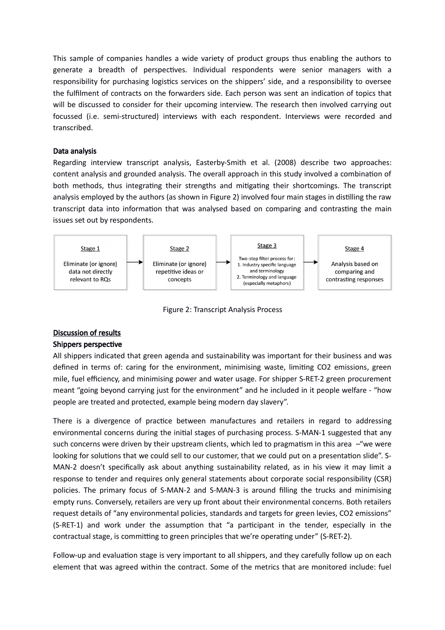This sample of companies handles a wide variety of product groups thus enabling the authors to generate a breadth of perspectives. Individual respondents were senior managers with a responsibility for purchasing logistics services on the shippers' side, and a responsibility to oversee the fulfilment of contracts on the forwarders side. Each person was sent an indication of topics that will be discussed to consider for their upcoming interview. The research then involved carrying out focussed (i.e. semi-structured) interviews with each respondent. Interviews were recorded and transcribed.

# Data analysis

 Regarding interview transcript analysis, Easterby-Smith et al. (2008) describe two approaches: content analysis and grounded analysis. The overall approach in this study involved a combination of both methods, thus integrating their strengths and mitigating their shortcomings. The transcript analysis employed by the authors (as shown in Figure 2) involved four main stages in distlling the raw transcript data into information that was analysed based on comparing and contrasting the main issues set out by respondents.





# Discussion of results

# Shippers perspective

 All shippers indicated that green agenda and sustainability was important for their business and was defined in terms of: caring for the environment, minimising waste, limiting CO2 emissions, green mile, fuel efficiency, and minimising power and water usage. For shipper S-RET-2 green procurement meant "going beyond carrying just for the environment" and he included in it people welfare - "how people are treated and protected, example being modern day slavery".

There is a divergence of practice between manufactures and retailers in regard to addressing environmental concerns during the inital stages of purchasing process. S-MAN-1 suggested that any such concerns were driven by their upstream clients, which led to pragmatism in this area  $-$ "we were looking for solutions that we could sell to our customer, that we could put on a presentation slide". S- MAN-2 doesn't specifcally ask about anything sustainability related, as in his view it may limit a response to tender and requires only general statements about corporate social responsibility (CSR) policies. The primary focus of S-MAN-2 and S-MAN-3 is around flling the trucks and minimising empty runs. Conversely, retailers are very up front about their environmental concerns. Both retailers request details of "any environmental policies, standards and targets for green levies, CO2 emissions" (S-RET-1) and work under the assumption that "a participant in the tender, especially in the contractual stage, is committing to green principles that we're operating under" (S-RET-2).

Follow-up and evaluation stage is very important to all shippers, and they carefully follow up on each element that was agreed within the contract. Some of the metrics that are monitored include: fuel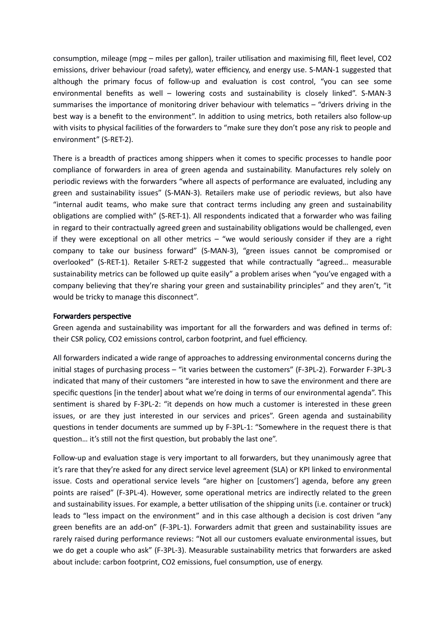consumption, mileage (mpg - miles per gallon), trailer utilisation and maximising fill, fleet level, CO2 emissions, driver behaviour (road safety), water efficiency, and energy use. S-MAN-1 suggested that although the primary focus of follow-up and evaluation is cost control, "you can see some environmental benefts as well – lowering costs and sustainability is closely linked". S-MAN-3 summarises the importance of monitoring driver behaviour with telematics - "drivers driving in the best way is a beneft to the environment". In additon to using metrics, both retailers also follow-up with visits to physical facilities of the forwarders to "make sure they don't pose any risk to people and environment" (S-RET-2).

There is a breadth of practices among shippers when it comes to specific processes to handle poor compliance of forwarders in area of green agenda and sustainability. Manufactures rely solely on periodic reviews with the forwarders "where all aspects of performance are evaluated, including any green and sustainability issues" (S-MAN-3). Retailers make use of periodic reviews, but also have "internal audit teams, who make sure that contract terms including any green and sustainability obligations are complied with" (S-RET-1). All respondents indicated that a forwarder who was failing in regard to their contractually agreed green and sustainability obligations would be challenged, even if they were exceptional on all other metrics – "we would seriously consider if they are a right company to take our business forward" (S-MAN-3), "green issues cannot be compromised or overlooked" (S-RET-1). Retailer S-RET-2 suggested that while contractually "agreed… measurable sustainability metrics can be followed up quite easily" a problem arises when "you've engaged with a company believing that they're sharing your green and sustainability principles" and they aren't, "it would be tricky to manage this disconnect".

#### Forwarders perspective

 Green agenda and sustainability was important for all the forwarders and was defned in terms of: their CSR policy, CO2 emissions control, carbon footprint, and fuel efficiency.

 inital stages of purchasing process – "it varies between the customers" (F-3PL-2). Forwarder F-3PL-3 indicated that many of their customers "are interested in how to save the environment and there are sentment is shared by F-3PL-2: "it depends on how much a customer is interested in these green issues, or are they just interested in our services and prices". Green agenda and sustainability questions in tender documents are summed up by F-3PL-1: "Somewhere in the request there is that All forwarders indicated a wide range of approaches to addressing environmental concerns during the specific questions [in the tender] about what we're doing in terms of our environmental agenda". This question... it's still not the first question, but probably the last one".

Follow-up and evaluation stage is very important to all forwarders, but they unanimously agree that it's rare that they're asked for any direct service level agreement (SLA) or KPI linked to environmental issue. Costs and operational service levels "are higher on [customers'] agenda, before any green points are raised" (F-3PL-4). However, some operational metrics are indirectly related to the green leads to "less impact on the environment" and in this case although a decision is cost driven "any green benefts are an add-on" (F-3PL-1). Forwarders admit that green and sustainability issues are rarely raised during performance reviews: "Not all our customers evaluate environmental issues, but we do get a couple who ask" (F-3PL-3). Measurable sustainability metrics that forwarders are asked and sustainability issues. For example, a better utilisation of the shipping units (i.e. container or truck) about include: carbon footprint, CO2 emissions, fuel consumption, use of energy.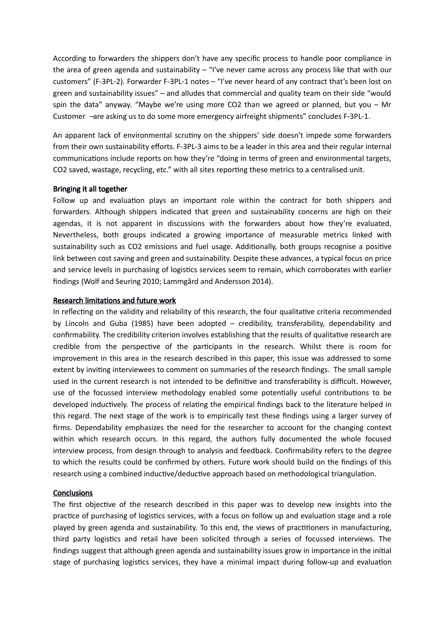According to forwarders the shippers don't have any specifc process to handle poor compliance in the area of green agenda and sustainability – "I've never came across any process like that with our customers" (F-3PL-2). Forwarder F-3PL-1 notes – "I've never heard of any contract that's been lost on green and sustainability issues" – and alludes that commercial and quality team on their side "would spin the data" anyway. "Maybe we're using more CO2 than we agreed or planned, but you – Mr Customer -are asking us to do some more emergency airfreight shipments" concludes F-3PL-1.

 An apparent lack of environmental scrutny on the shippers' side doesn't impede some forwarders communications include reports on how they're "doing in terms of green and environmental targets, from their own sustainability eforts. F-3PL-3 aims to be a leader in this area and their regular internal CO2 saved, wastage, recycling, etc." with all sites reporting these metrics to a centralised unit.

## Bringing it all together

Follow up and evaluation plays an important role within the contract for both shippers and forwarders. Although shippers indicated that green and sustainability concerns are high on their agendas, it is not apparent in discussions with the forwarders about how they're evaluated. Nevertheless, both groups indicated a growing importance of measurable metrics linked with sustainability such as CO2 emissions and fuel usage. Additionally, both groups recognise a positive link between cost saving and green and sustainability. Despite these advances, a typical focus on price and service levels in purchasing of logistics services seem to remain, which corroborates with earlier fndings (Wolf and Seuring 2010; Lammgård and Andersson 2014).

#### **Research limitations and future work**

In reflecting on the validity and reliability of this research, the four qualitative criteria recommended by Lincoln and Guba (1985) have been adopted – credibility, transferability, dependability and confirmability. The credibility criterion involves establishing that the results of qualitative research are credible from the perspective of the participants in the research. Whilst there is room for improvement in this area in the research described in this paper, this issue was addressed to some extent by invitng interviewees to comment on summaries of the research fndings. The small sample used in the current research is not intended to be definitive and transferability is difficult. However, use of the focussed interview methodology enabled some potentially useful contributions to be developed inductively. The process of relating the empirical findings back to the literature helped in this regard. The next stage of the work is to empirically test these fndings using a larger survey of firms. Dependability emphasizes the need for the researcher to account for the changing context within which research occurs. In this regard, the authors fully documented the whole focused interview process, from design through to analysis and feedback. Confrmability refers to the degree to which the results could be confrmed by others. Future work should build on the fndings of this research using a combined inductive/deductive approach based on methodological triangulation.

## **Conclusions**

The first objective of the research described in this paper was to develop new insights into the practice of purchasing of logistics services, with a focus on follow up and evaluation stage and a role played by green agenda and sustainability. To this end, the views of practitioners in manufacturing, third party logistics and retail have been solicited through a series of focussed interviews. The fndings suggest that although green agenda and sustainability issues grow in importance in the inital stage of purchasing logistics services, they have a minimal impact during follow-up and evaluation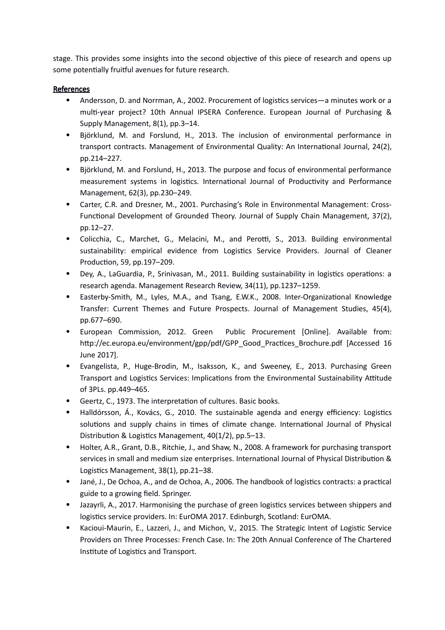stage. This provides some insights into the second objective of this piece of research and opens up some potentially fruitful avenues for future research.

# **References**

- Andersson, D. and Norrman, A., 2002. Procurement of logistics services—a minutes work or a multi-year project? 10th Annual IPSERA Conference. European Journal of Purchasing & Supply Management, 8(1), pp.3–14.
- Björklund, M. and Forslund, H., 2013. The inclusion of environmental performance in transport contracts. Management of Environmental Quality: An International Journal, 24(2), pp.214–227.
- Björklund, M. and Forslund, H., 2013. The purpose and focus of environmental performance measurement systems in logistics. International Journal of Productivity and Performance Management, 62(3), pp.230–249.
- Carter, C.R. and Dresner, M., 2001. Purchasing's Role in Environmental Management: Cross-Functional Development of Grounded Theory. Journal of Supply Chain Management, 37(2), pp.12–27.
- Colicchia, C., Marchet, G., Melacini, M., and Perotti, S., 2013. Building environmental sustainability: empirical evidence from Logistics Service Providers. Journal of Cleaner Production, 59, pp.197-209.
- Dey, A., LaGuardia, P., Srinivasan, M., 2011. Building sustainability in logistics operations: a research agenda. Management Research Review, 34(11), pp.1237–1259.
- Easterby-Smith, M., Lyles, M.A., and Tsang, E.W.K., 2008. Inter-Organizational Knowledge Transfer: Current Themes and Future Prospects. Journal of Management Studies, 45(4), pp.677–690.
- European Commission, 2012. Green Public Procurement [Online]. Available from: http://ec.europa.eu/environment/gpp/pdf/GPP\_Good\_Practices\_Brochure.pdf [Accessed 16 June 2017].
- Evangelista, P., Huge-Brodin, M., Isaksson, K., and Sweeney, E., 2013. Purchasing Green Transport and Logistics Services: Implications from the Environmental Sustainability Attitude of 3PLs. pp.449–465.
- Geertz, C., 1973. The interpretaton of cultures. Basic books.
- Halldórsson, Á., Kovács, G., 2010. The sustainable agenda and energy efficiency: Logistics solutions and supply chains in times of climate change. International Journal of Physical Distribution & Logistics Management,  $40(1/2)$ , pp.5–13.
- Holter, A.R., Grant, D.B., Ritchie, J., and Shaw, N., 2008. A framework for purchasing transport services in small and medium size enterprises. International Journal of Physical Distribution & Logistics Management, 38(1), pp.21-38.
- Jané, J., De Ochoa, A., and de Ochoa, A., 2006. The handbook of logistics contracts: a practical guide to a growing feld. Springer.
- Jazayrli, A., 2017. Harmonising the purchase of green logistics services between shippers and logistics service providers. In: EurOMA 2017. Edinburgh, Scotland: EurOMA.
- Kacioui-Maurin, E., Lazzeri, J., and Michon, V., 2015. The Strategic Intent of Logistic Service Providers on Three Processes: French Case. In: The 20th Annual Conference of The Chartered Institute of Logistics and Transport.